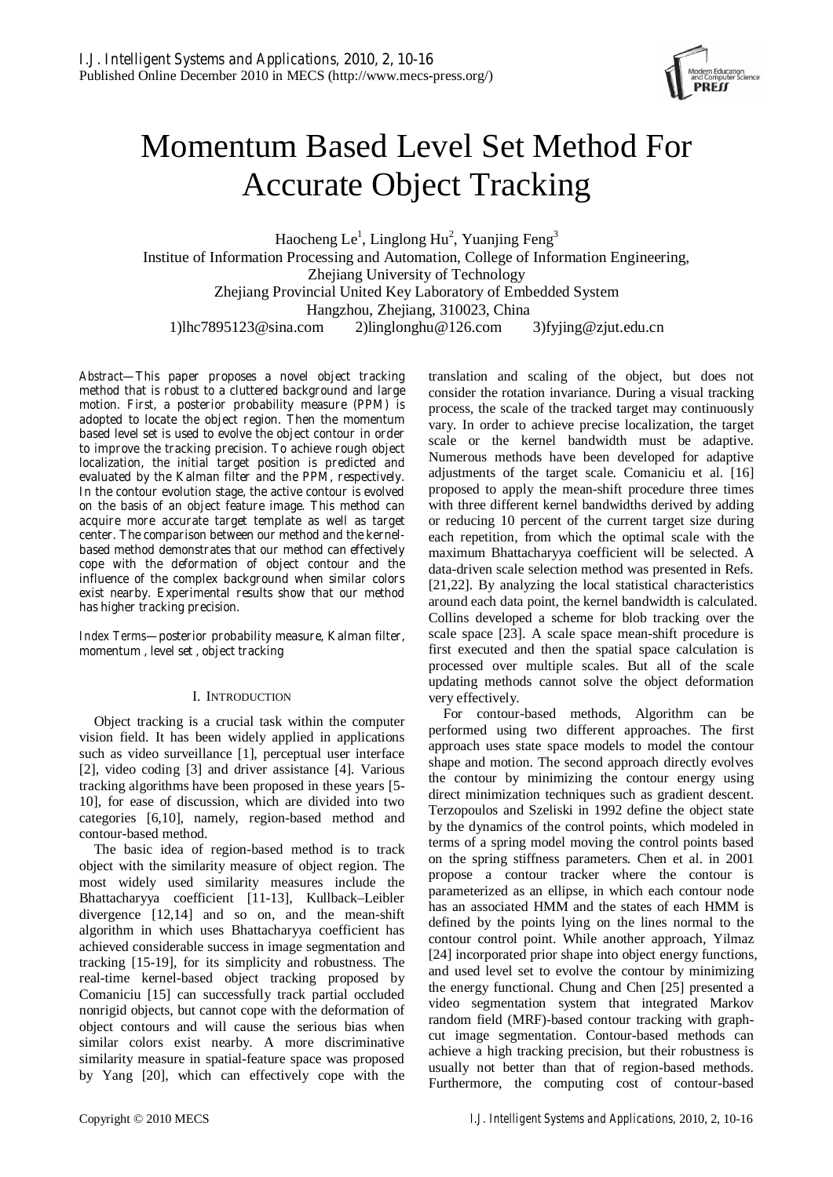

# Momentum Based Level Set Method For Accurate Object Tracking

Haocheng Le<sup>1</sup>, Linglong Hu<sup>2</sup>, Yuanjing Feng<sup>3</sup> Institue of Information Processing and Automation, College of Information Engineering, Zhejiang University of Technology Zhejiang Provincial United Key Laboratory of Embedded System Hangzhou, Zhejiang, 310023, China 1)lhc7895123@sina.com 2)linglonghu@126.com 3)fyjing@zjut.edu.cn

*Abstract***—This paper proposes a novel object tracking method that is robust to a cluttered background and large motion. First, a posterior probability measure (PPM) is adopted to locate the object region. Then the momentum based level set is used to evolve the object contour in order to improve the tracking precision. To achieve rough object localization, the initial target position is predicted and evaluated by the Kalman filter and the PPM, respectively. In the contour evolution stage, the active contour is evolved on the basis of an object feature image. This method can acquire more accurate target template as well as target center. The comparison between our method and the kernelbased method demonstrates that our method can effectively cope with the deformation of object contour and the influence of the complex background when similar colors exist nearby. Experimental results show that our method has higher tracking precision.** 

*Index Terms***—posterior probability measure, Kalman filter, momentum , level set , object tracking** 

# I. INTRODUCTION

Object tracking is a crucial task within the computer vision field. It has been widely applied in applications such as video surveillance [1], perceptual user interface [2], video coding [3] and driver assistance [4]. Various tracking algorithms have been proposed in these years [5- 10], for ease of discussion, which are divided into two categories [6,10], namely, region-based method and contour-based method.

The basic idea of region-based method is to track object with the similarity measure of object region. The most widely used similarity measures include the Bhattacharyya coefficient [11-13], Kullback–Leibler divergence [12,14] and so on, and the mean-shift algorithm in which uses Bhattacharyya coefficient has achieved considerable success in image segmentation and tracking [15-19], for its simplicity and robustness. The real-time kernel-based object tracking proposed by Comaniciu [15] can successfully track partial occluded nonrigid objects, but cannot cope with the deformation of object contours and will cause the serious bias when similar colors exist nearby. A more discriminative similarity measure in spatial-feature space was proposed by Yang [20], which can effectively cope with the translation and scaling of the object, but does not consider the rotation invariance. During a visual tracking process, the scale of the tracked target may continuously vary. In order to achieve precise localization, the target scale or the kernel bandwidth must be adaptive. Numerous methods have been developed for adaptive adjustments of the target scale. Comaniciu et al. [16] proposed to apply the mean-shift procedure three times with three different kernel bandwidths derived by adding or reducing 10 percent of the current target size during each repetition, from which the optimal scale with the maximum Bhattacharyya coefficient will be selected. A data-driven scale selection method was presented in Refs. [21,22]. By analyzing the local statistical characteristics around each data point, the kernel bandwidth is calculated. Collins developed a scheme for blob tracking over the scale space [23]. A scale space mean-shift procedure is first executed and then the spatial space calculation is processed over multiple scales. But all of the scale updating methods cannot solve the object deformation very effectively.

For contour-based methods, Algorithm can be performed using two different approaches. The first approach uses state space models to model the contour shape and motion. The second approach directly evolves the contour by minimizing the contour energy using direct minimization techniques such as gradient descent. Terzopoulos and Szeliski in 1992 define the object state by the dynamics of the control points, which modeled in terms of a spring model moving the control points based on the spring stiffness parameters. Chen et al. in 2001 propose a contour tracker where the contour is parameterized as an ellipse, in which each contour node has an associated HMM and the states of each HMM is defined by the points lying on the lines normal to the contour control point. While another approach, Yilmaz [24] incorporated prior shape into object energy functions, and used level set to evolve the contour by minimizing the energy functional. Chung and Chen [25] presented a video segmentation system that integrated Markov random field (MRF)-based contour tracking with graphcut image segmentation. Contour-based methods can achieve a high tracking precision, but their robustness is usually not better than that of region-based methods. Furthermore, the computing cost of contour-based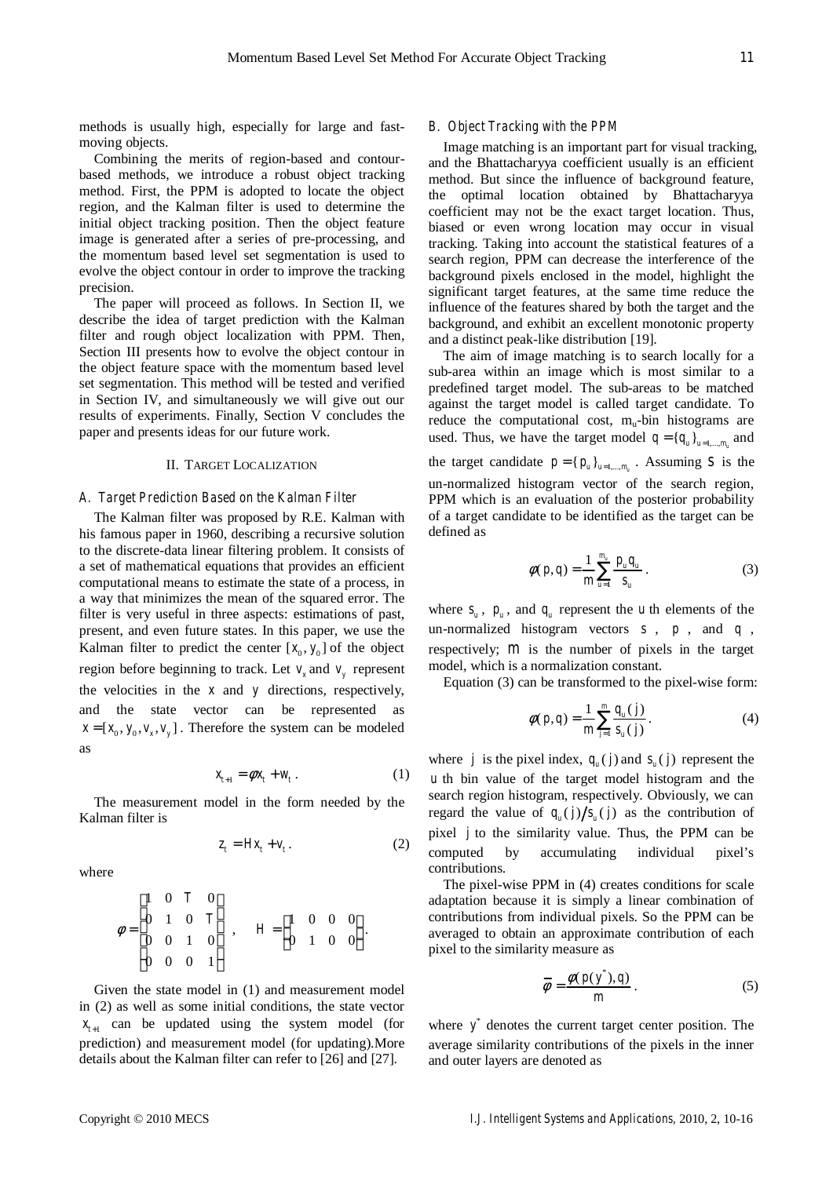methods is usually high, especially for large and fastmoving objects.

Combining the merits of region-based and contourbased methods, we introduce a robust object tracking method. First, the PPM is adopted to locate the object region, and the Kalman filter is used to determine the initial object tracking position. Then the object feature image is generated after a series of pre-processing, and the momentum based level set segmentation is used to evolve the object contour in order to improve the tracking precision.

The paper will proceed as follows. In Section II, we describe the idea of target prediction with the Kalman filter and rough object localization with PPM. Then, Section III presents how to evolve the object contour in the object feature space with the momentum based level set segmentation. This method will be tested and verified in Section IV, and simultaneously we will give out our results of experiments. Finally, Section V concludes the paper and presents ideas for our future work.

#### II. TARGET LOCALIZATION

#### *A. Target Prediction Based on the Kalman Filter*

The Kalman filter was proposed by R.E. Kalman with his famous paper in 1960, describing a recursive solution to the discrete-data linear filtering problem. It consists of a set of mathematical equations that provides an efficient computational means to estimate the state of a process, in a way that minimizes the mean of the squared error. The filter is very useful in three aspects: estimations of past, present, and even future states. In this paper, we use the Kalman filter to predict the center  $[x_0, y_0]$  of the object region before beginning to track. Let  $v<sub>r</sub>$  and  $v<sub>v</sub>$  represent the velocities in the *x* and *y* directions, respectively, and the state vector can be represented as  $x = [x_0, y_0, v_0, v_0]$ . Therefore the system can be modeled as

$$
x_{t+1} = \phi x_t + w_t \,. \tag{1}
$$

The measurement model in the form needed by the Kalman filter is

$$
z_t = Hx_t + v_t. \tag{2}
$$

where

$$
\phi = \begin{bmatrix} 1 & 0 & T & 0 \\ 0 & 1 & 0 & T \\ 0 & 0 & 1 & 0 \\ 0 & 0 & 0 & 1 \end{bmatrix}, \quad H = \begin{bmatrix} 1 & 0 & 0 & 0 \\ 0 & 1 & 0 & 0 \end{bmatrix}.
$$

Given the state model in (1) and measurement model in (2) as well as some initial conditions, the state vector  $x_{t+1}$  can be updated using the system model (for prediction) and measurement model (for updating).More details about the Kalman filter can refer to [26] and [27].

#### *B. Object Tracking with the PPM*

Image matching is an important part for visual tracking, and the Bhattacharyya coefficient usually is an efficient method. But since the influence of background feature, the optimal location obtained by Bhattacharyya coefficient may not be the exact target location. Thus, biased or even wrong location may occur in visual tracking. Taking into account the statistical features of a search region, PPM can decrease the interference of the background pixels enclosed in the model, highlight the significant target features, at the same time reduce the influence of the features shared by both the target and the background, and exhibit an excellent monotonic property and a distinct peak-like distribution [19].

The aim of image matching is to search locally for a sub-area within an image which is most similar to a predefined target model. The sub-areas to be matched against the target model is called target candidate. To reduce the computational cost,  $m_u$ -bin histograms are used. Thus, we have the target model  $q = \{q_u\}_{u = 1,\dots,m_u}$  and the target candidate  $p = { p_u }_{ u = 1,..., m_u }$ . Assuming *s* is the un-normalized histogram vector of the search region, PPM which is an evaluation of the posterior probability of a target candidate to be identified as the target can be defined as

$$
\phi(p,q) = \frac{1}{m} \sum_{u=1}^{m_u} \frac{p_u q_u}{s_u} \,. \tag{3}
$$

where  $s_u$ ,  $p_u$ , and  $q_u$  represent the *u* th elements of the un-normalized histogram vectors *s* , *p* , and *q* , respectively; *m* is the number of pixels in the target model, which is a normalization constant.

Equation (3) can be transformed to the pixel-wise form:

$$
\phi(p,q) = \frac{1}{m} \sum_{j=1}^{m} \frac{q_u(j)}{s_u(j)}.
$$
 (4)

where *j* is the pixel index,  $q_u(j)$  and  $s_u(j)$  represent the *u* th bin value of the target model histogram and the search region histogram, respectively. Obviously, we can regard the value of  $q_u(j) / s_u(j)$  as the contribution of pixel *j* to the similarity value. Thus, the PPM can be computed by accumulating individual pixel's contributions.

The pixel-wise PPM in (4) creates conditions for scale adaptation because it is simply a linear combination of contributions from individual pixels. So the PPM can be averaged to obtain an approximate contribution of each pixel to the similarity measure as

$$
\overline{\phi} = \frac{\phi(p(y^*), q)}{m}.
$$
 (5)

where  $y^*$  denotes the current target center position. The average similarity contributions of the pixels in the inner and outer layers are denoted as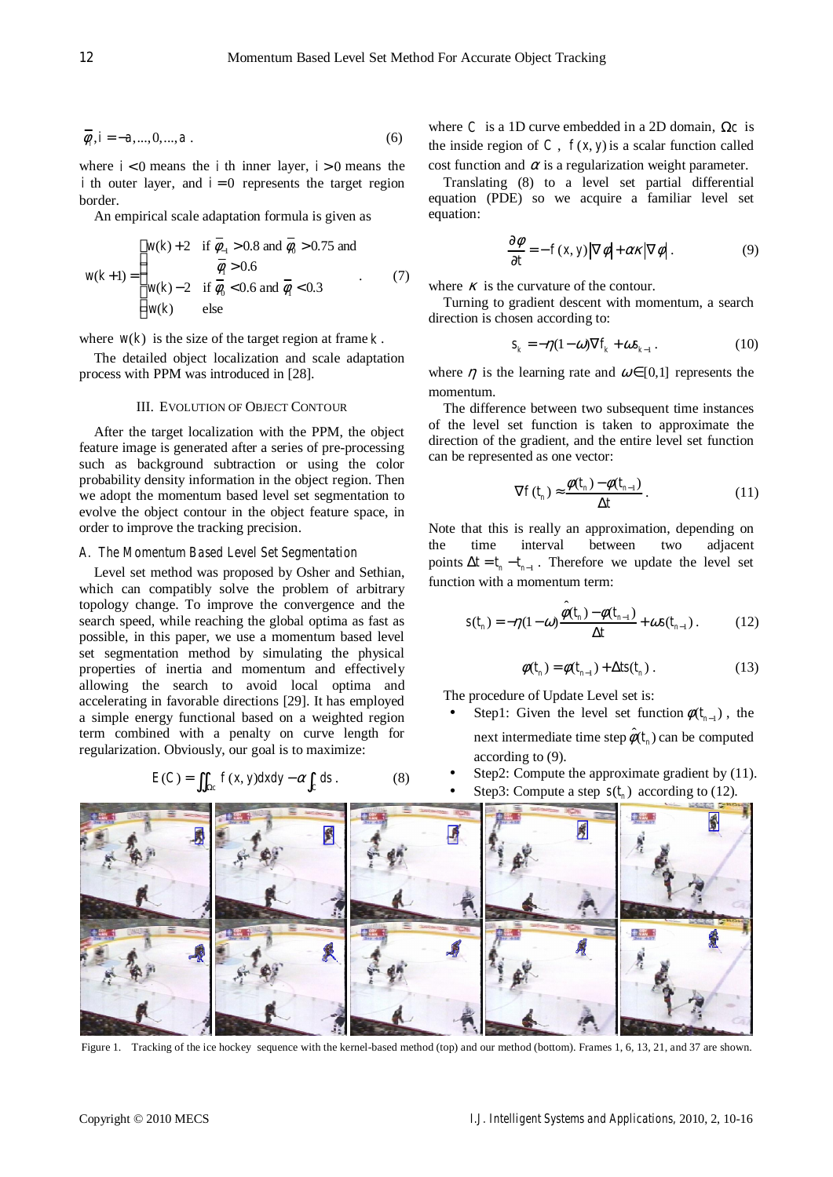$$
\overline{\phi}_i, i = -a, ..., 0, ..., a
$$
 (6)

where  $i < 0$  means the *i* th inner layer,  $i > 0$  means the *i* th outer layer, and  $i = 0$  represents the target region border.

An empirical scale adaptation formula is given as

$$
w(k+1) = \begin{cases} w(k) + 2 & \text{if } \overline{\phi}_{-1} > 0.8 \text{ and } \overline{\phi}_{0} > 0.75 \text{ and} \\ \overline{\phi}_{1} > 0.6 \\ w(k) - 2 & \text{if } \overline{\phi}_{0} < 0.6 \text{ and } \overline{\phi}_{1} < 0.3 \\ w(k) & \text{else} \end{cases}
$$
(7)

where  $w(k)$  is the size of the target region at frame  $k$ .

The detailed object localization and scale adaptation process with PPM was introduced in [28].

### III. EVOLUTION OF OBJECT CONTOUR

After the target localization with the PPM, the object feature image is generated after a series of pre-processing such as background subtraction or using the color probability density information in the object region. Then we adopt the momentum based level set segmentation to evolve the object contour in the object feature space, in order to improve the tracking precision.

## *A. The Momentum Based Level Set Segmentation*

Level set method was proposed by Osher and Sethian, which can compatibly solve the problem of arbitrary topology change. To improve the convergence and the search speed, while reaching the global optima as fast as possible, in this paper, we use a momentum based level set segmentation method by simulating the physical properties of inertia and momentum and effectively allowing the search to avoid local optima and accelerating in favorable directions [29]. It has employed a simple energy functional based on a weighted region term combined with a penalty on curve length for regularization. Obviously, our goal is to maximize:

$$
E(C) = \iint_{\Omega_C} f(x, y) dx dy - \alpha \int_C ds . \tag{8}
$$

where *C* is a 1D curve embedded in a 2D domain,  $\Omega_c$  is the inside region of  $C$ ,  $f(x, y)$  is a scalar function called cost function and  $\alpha$  is a regularization weight parameter.

Translating (8) to a level set partial differential equation (PDE) so we acquire a familiar level set equation:

$$
\frac{\partial \phi}{\partial t} = -f(x, y) |\nabla \phi| + \alpha \kappa |\nabla \phi|.
$$
 (9)

where  $\kappa$  is the curvature of the contour.

Turning to gradient descent with momentum, a search direction is chosen according to:

$$
s_k = -\eta (1 - \omega) \nabla f_k + \omega s_{k-1} \,. \tag{10}
$$

where  $\eta$  is the learning rate and  $\omega \in [0,1]$  represents the momentum.

The difference between two subsequent time instances of the level set function is taken to approximate the direction of the gradient, and the entire level set function can be represented as one vector:

$$
\nabla f(t_n) \approx \frac{\phi(t_n) - \phi(t_{n-1})}{\Delta t} \,. \tag{11}
$$

Note that this is really an approximation, depending on the time interval between two adjacent points  $\Delta t = t_n - t_{n-1}$ . Therefore we update the level set function with a momentum term:

$$
s(t_n) = -\eta(1-\omega)\frac{\hat{\phi}(t_n) - \phi(t_{n-1})}{\Delta t} + \omega s(t_{n-1}).
$$
 (12)

$$
\phi(t_n) = \phi(t_{n-1}) + \Delta t s(t_n) \tag{13}
$$

The procedure of Update Level set is:

- Step1: Given the level set function  $\phi(t_{n-1})$ , the next intermediate time step  $\hat{\phi}(t_n)$  can be computed according to (9).
- Step2: Compute the approximate gradient by (11).
- Step3: Compute a step  $s(t_n)$  according to (12).



Figure 1. Tracking of the ice hockey sequence with the kernel-based method (top) and our method (bottom). Frames 1, 6, 13, 21, and 37 are shown.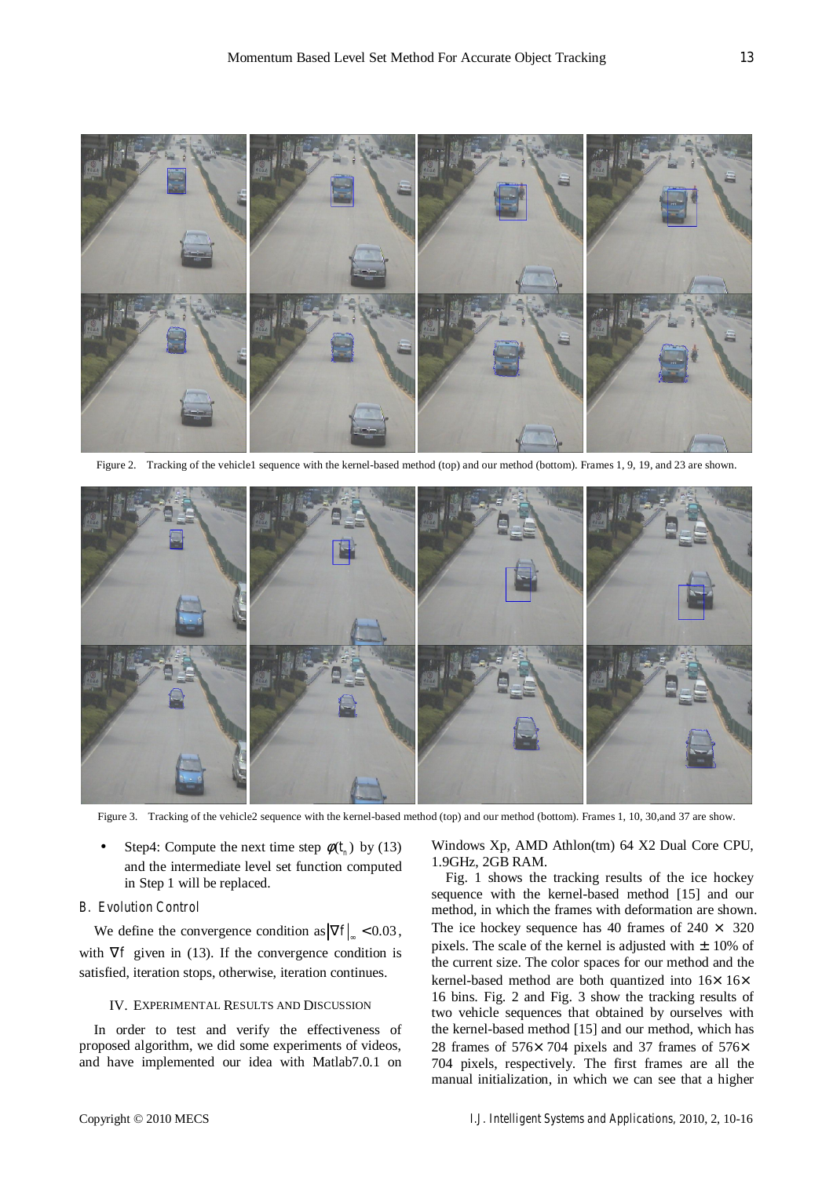

Figure 2. Tracking of the vehicle1 sequence with the kernel-based method (top) and our method (bottom). Frames 1, 9, 19, and 23 are shown.



Figure 3. Tracking of the vehicle2 sequence with the kernel-based method (top) and our method (bottom). Frames 1, 10, 30,and 37 are show.

Step4: Compute the next time step  $\phi(t_n)$  by (13) and the intermediate level set function computed in Step 1 will be replaced.

## *B. Evolution Control*

We define the convergence condition as  $|\nabla f|_{\infty} < 0.03$ , with  $\nabla f$  given in (13). If the convergence condition is satisfied, iteration stops, otherwise, iteration continues.

## IV. EXPERIMENTAL RESULTS AND DISCUSSION

In order to test and verify the effectiveness of proposed algorithm, we did some experiments of videos, and have implemented our idea with Matlab7.0.1 on Windows Xp, AMD Athlon(tm) 64 X2 Dual Core CPU, 1.9GHz, 2GB RAM.

Fig. 1 shows the tracking results of the ice hockey sequence with the kernel-based method [15] and our method, in which the frames with deformation are shown. The ice hockey sequence has 40 frames of  $240 \times 320$ pixels. The scale of the kernel is adjusted with  $\pm$  10% of the current size. The color spaces for our method and the kernel-based method are both quantized into  $16\times 16\times$ 16 bins. Fig. 2 and Fig. 3 show the tracking results of two vehicle sequences that obtained by ourselves with the kernel-based method [15] and our method, which has 28 frames of 576×704 pixels and 37 frames of 576× 704 pixels, respectively. The first frames are all the manual initialization, in which we can see that a higher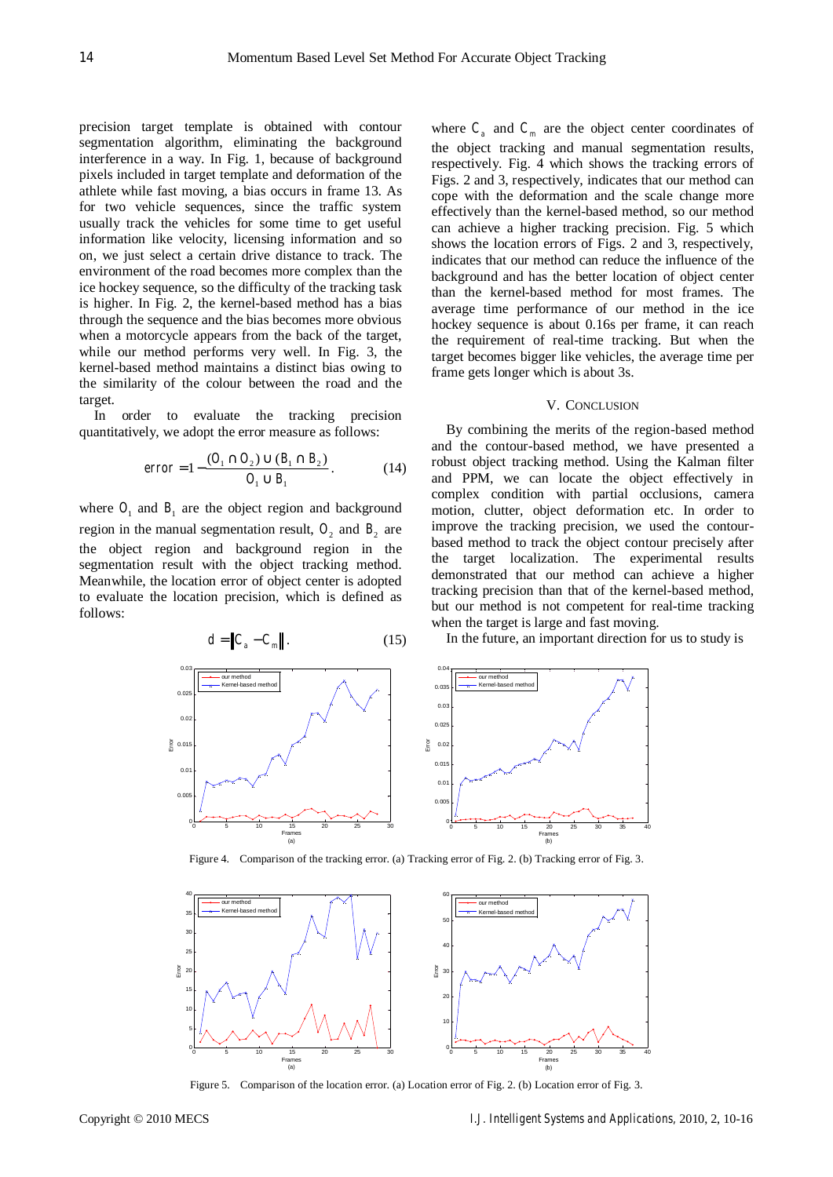precision target template is obtained with contour segmentation algorithm, eliminating the background interference in a way. In Fig. 1, because of background pixels included in target template and deformation of the athlete while fast moving, a bias occurs in frame 13. As for two vehicle sequences, since the traffic system usually track the vehicles for some time to get useful information like velocity, licensing information and so on, we just select a certain drive distance to track. The environment of the road becomes more complex than the ice hockey sequence, so the difficulty of the tracking task is higher. In Fig. 2, the kernel-based method has a bias through the sequence and the bias becomes more obvious when a motorcycle appears from the back of the target, while our method performs very well. In Fig. 3, the kernel-based method maintains a distinct bias owing to the similarity of the colour between the road and the target.

In order to evaluate the tracking precision quantitatively, we adopt the error measure as follows:

$$
error = 1 - \frac{(O_1 \cap O_2) \cup (B_1 \cap B_2)}{O_1 \cup B_1}.
$$
 (14)

where  $O_1$  and  $B_1$  are the object region and background region in the manual segmentation result,  $O_2$  and  $B_2$  are the object region and background region in the segmentation result with the object tracking method. Meanwhile, the location error of object center is adopted to evaluate the location precision, which is defined as follows:

 $d = \|C_1 - C_2\|$ . (15)

where  $C_a$  and  $C_m$  are the object center coordinates of the object tracking and manual segmentation results, respectively. Fig. 4 which shows the tracking errors of Figs. 2 and 3, respectively, indicates that our method can cope with the deformation and the scale change more effectively than the kernel-based method, so our method can achieve a higher tracking precision. Fig. 5 which shows the location errors of Figs. 2 and 3, respectively, indicates that our method can reduce the influence of the background and has the better location of object center than the kernel-based method for most frames. The average time performance of our method in the ice hockey sequence is about 0.16s per frame, it can reach the requirement of real-time tracking. But when the target becomes bigger like vehicles, the average time per frame gets longer which is about 3s.

# V. CONCLUSION

By combining the merits of the region-based method and the contour-based method, we have presented a robust object tracking method. Using the Kalman filter and PPM, we can locate the object effectively in complex condition with partial occlusions, camera motion, clutter, object deformation etc. In order to improve the tracking precision, we used the contourbased method to track the object contour precisely after the target localization. The experimental results demonstrated that our method can achieve a higher tracking precision than that of the kernel-based method, but our method is not competent for real-time tracking when the target is large and fast moving.

In the future, an important direction for us to study is



Figure 4. Comparison of the tracking error. (a) Tracking error of Fig. 2. (b) Tracking error of Fig. 3.



Figure 5. Comparison of the location error. (a) Location error of Fig. 2. (b) Location error of Fig. 3.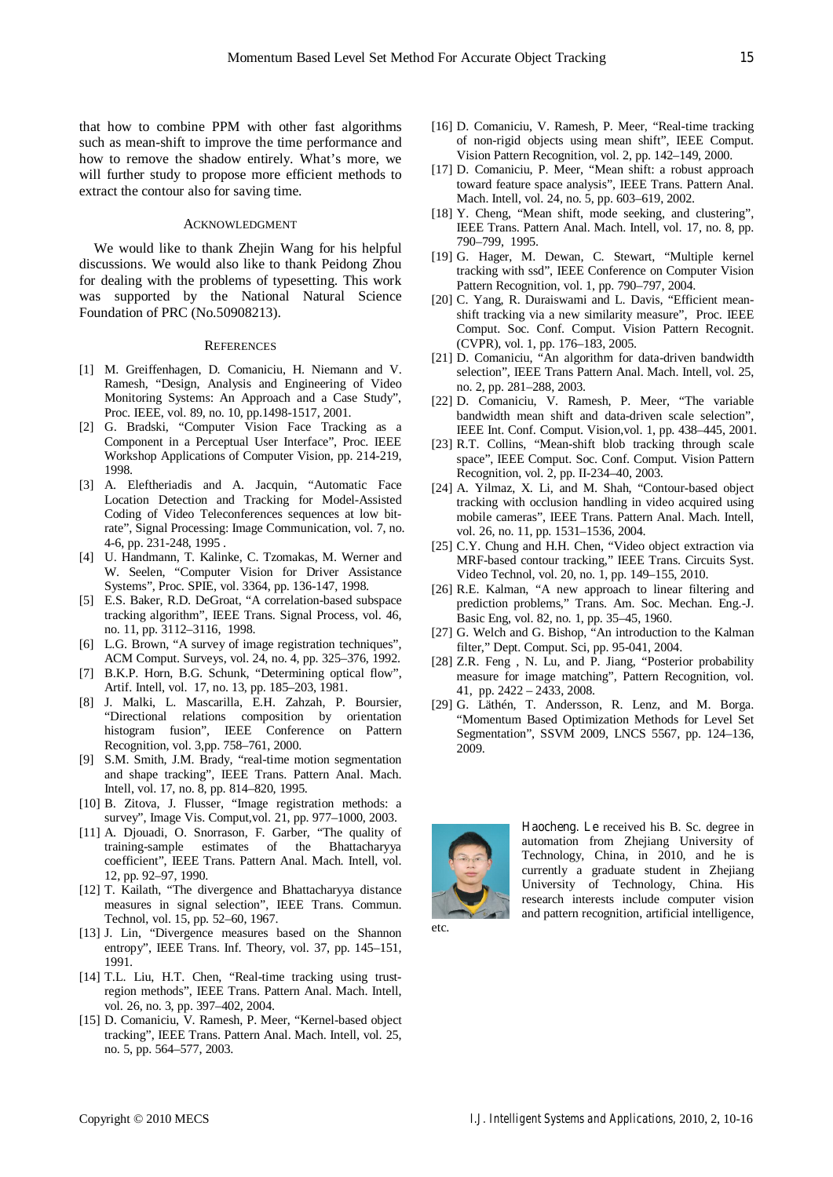that how to combine PPM with other fast algorithms such as mean-shift to improve the time performance and how to remove the shadow entirely. What's more, we will further study to propose more efficient methods to extract the contour also for saving time.

## ACKNOWLEDGMENT

We would like to thank Zhejin Wang for his helpful discussions. We would also like to thank Peidong Zhou for dealing with the problems of typesetting. This work was supported by the National Natural Science Foundation of PRC (No.50908213).

#### **REFERENCES**

- [1] M. Greiffenhagen, D. Comaniciu, H. Niemann and V. Ramesh, "Design, Analysis and Engineering of Video Monitoring Systems: An Approach and a Case Study", Proc. IEEE, vol. 89, no. 10, pp.1498-1517, 2001.
- [2] G. Bradski, "Computer Vision Face Tracking as a Component in a Perceptual User Interface", Proc. IEEE Workshop Applications of Computer Vision, pp. 214-219, 1998.
- [3] A. Eleftheriadis and A. Jacquin, "Automatic Face Location Detection and Tracking for Model-Assisted Coding of Video Teleconferences sequences at low bitrate", Signal Processing: Image Communication, vol. 7, no. 4-6, pp. 231-248, 1995 .
- [4] U. Handmann, T. Kalinke, C. Tzomakas, M. Werner and W. Seelen, "Computer Vision for Driver Assistance Systems", Proc. SPIE, vol. 3364, pp. 136-147, 1998.
- [5] E.S. Baker, R.D. DeGroat, "A correlation-based subspace tracking algorithm", IEEE Trans. Signal Process, vol. 46, no. 11, pp. 3112–3116, 1998.
- [6] L.G. Brown, "A survey of image registration techniques", ACM Comput. Surveys, vol. 24, no. 4, pp. 325–376, 1992.
- [7] B.K.P. Horn, B.G. Schunk, "Determining optical flow", Artif. Intell, vol. 17, no. 13, pp. 185–203, 1981.
- [8] J. Malki, L. Mascarilla, E.H. Zahzah, P. Boursier, "Directional relations composition by orientation histogram fusion", IEEE Conference on Pattern Recognition, vol. 3,pp. 758–761, 2000.
- [9] S.M. Smith, J.M. Brady, "real-time motion segmentation and shape tracking", IEEE Trans. Pattern Anal. Mach. Intell, vol. 17, no. 8, pp. 814–820, 1995.
- [10] B. Zitova, J. Flusser, "Image registration methods: a survey", Image Vis. Comput,vol. 21, pp. 977–1000, 2003.
- [11] A. Djouadi, O. Snorrason, F. Garber, "The quality of training-sample estimates of the coefficient", IEEE Trans. Pattern Anal. Mach. Intell, vol. 12, pp. 92–97, 1990.
- [12] T. Kailath, "The divergence and Bhattacharyya distance measures in signal selection", IEEE Trans. Commun. Technol, vol. 15, pp. 52–60, 1967.
- [13] J. Lin, "Divergence measures based on the Shannon entropy", IEEE Trans. Inf. Theory, vol. 37, pp. 145–151, 1991.
- [14] T.L. Liu, H.T. Chen, "Real-time tracking using trustregion methods", IEEE Trans. Pattern Anal. Mach. Intell, vol. 26, no. 3, pp. 397–402, 2004.
- [15] D. Comaniciu, V. Ramesh, P. Meer, "Kernel-based object tracking", IEEE Trans. Pattern Anal. Mach. Intell, vol. 25, no. 5, pp. 564–577, 2003.
- [16] D. Comaniciu, V. Ramesh, P. Meer, "Real-time tracking of non-rigid objects using mean shift", IEEE Comput. Vision Pattern Recognition, vol. 2, pp. 142–149, 2000.
- [17] D. Comaniciu, P. Meer, "Mean shift: a robust approach toward feature space analysis", IEEE Trans. Pattern Anal. Mach. Intell, vol. 24, no. 5, pp. 603–619, 2002.
- [18] Y. Cheng, "Mean shift, mode seeking, and clustering", IEEE Trans. Pattern Anal. Mach. Intell, vol. 17, no. 8, pp. 790–799, 1995.
- [19] G. Hager, M. Dewan, C. Stewart, "Multiple kernel tracking with ssd", IEEE Conference on Computer Vision Pattern Recognition, vol. 1, pp. 790–797, 2004.
- [20] C. Yang, R. Duraiswami and L. Davis, "Efficient meanshift tracking via a new similarity measure", Proc. IEEE Comput. Soc. Conf. Comput. Vision Pattern Recognit. (CVPR), vol. 1, pp. 176–183, 2005.
- [21] D. Comaniciu, "An algorithm for data-driven bandwidth selection", IEEE Trans Pattern Anal. Mach. Intell, vol. 25, no. 2, pp. 281–288, 2003.
- [22] D. Comaniciu, V. Ramesh, P. Meer, "The variable bandwidth mean shift and data-driven scale selection", IEEE Int. Conf. Comput. Vision,vol. 1, pp. 438–445, 2001.
- [23] R.T. Collins, "Mean-shift blob tracking through scale space", IEEE Comput. Soc. Conf. Comput. Vision Pattern Recognition, vol. 2, pp. II-234–40, 2003.
- [24] A. Yilmaz, X. Li, and M. Shah, "Contour-based object tracking with occlusion handling in video acquired using mobile cameras", IEEE Trans. Pattern Anal. Mach. Intell, vol. 26, no. 11, pp. 1531–1536, 2004.
- [25] C.Y. Chung and H.H. Chen, "Video object extraction via MRF-based contour tracking," IEEE Trans. Circuits Syst. Video Technol, vol. 20, no. 1, pp. 149–155, 2010.
- [26] R.E. Kalman, "A new approach to linear filtering and prediction problems," Trans. Am. Soc. Mechan. Eng.-J. Basic Eng, vol. 82, no. 1, pp. 35–45, 1960.
- [27] G. Welch and G. Bishop, "An introduction to the Kalman filter," Dept. Comput. Sci, pp. 95-041, 2004.
- [28] Z.R. Feng , N. Lu, and P. Jiang, "Posterior probability measure for image matching", Pattern Recognition, vol. 41, pp. 2422 – 2433, 2008.
- [29] G. Läthén, T. Andersson, R. Lenz, and M. Borga. "Momentum Based Optimization Methods for Level Set Segmentation", SSVM 2009, LNCS 5567, pp. 124–136, 2009.



**Haocheng. Le** received his B. Sc. degree in automation from Zhejiang University of Technology, China, in 2010, and he is currently a graduate student in Zhejiang University of Technology, China. His research interests include computer vision and pattern recognition, artificial intelligence,

etc.